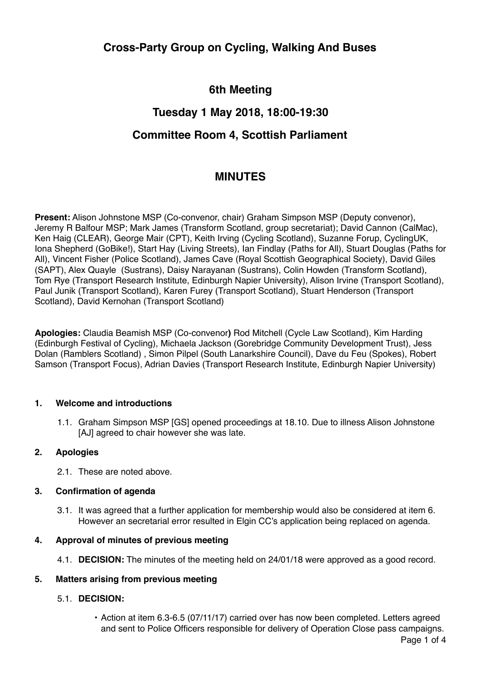# **Cross-Party Group on Cycling, Walking And Buses**

# **6th Meeting**

### **Tuesday 1 May 2018, 18:00-19:30**

## **Committee Room 4, Scottish Parliament**

### **MINUTES**

**Present:** Alison Johnstone MSP (Co-convenor, chair) Graham Simpson MSP (Deputy convenor), Jeremy R Balfour MSP; Mark James (Transform Scotland, group secretariat); David Cannon (CalMac), Ken Haig (CLEAR), George Mair (CPT), Keith Irving (Cycling Scotland), Suzanne Forup, CyclingUK, Iona Shepherd (GoBike!), Start Hay (Living Streets), Ian Findlay (Paths for All), Stuart Douglas (Paths for All), Vincent Fisher (Police Scotland), James Cave (Royal Scottish Geographical Society), David Giles (SAPT), Alex Quayle (Sustrans), Daisy Narayanan (Sustrans), Colin Howden (Transform Scotland), Tom Rye (Transport Research Institute, Edinburgh Napier University), Alison Irvine (Transport Scotland), Paul Junik (Transport Scotland), Karen Furey (Transport Scotland), Stuart Henderson (Transport Scotland), David Kernohan (Transport Scotland)

**Apologies:** Claudia Beamish MSP (Co-convenor**)** Rod Mitchell (Cycle Law Scotland), Kim Harding (Edinburgh Festival of Cycling), Michaela Jackson (Gorebridge Community Development Trust), Jess Dolan (Ramblers Scotland) , Simon Pilpel (South Lanarkshire Council), Dave du Feu (Spokes), Robert Samson (Transport Focus), Adrian Davies (Transport Research Institute, Edinburgh Napier University)

#### **1. Welcome and introductions**

1.1. Graham Simpson MSP [GS] opened proceedings at 18.10. Due to illness Alison Johnstone [AJ] agreed to chair however she was late.

#### **2. Apologies**

2.1. These are noted above.

#### **3. Confirmation of agenda**

3.1. It was agreed that a further application for membership would also be considered at item 6. However an secretarial error resulted in Elgin CC's application being replaced on agenda.

#### **4. Approval of minutes of previous meeting**

4.1. **DECISION:** The minutes of the meeting held on 24/01/18 were approved as a good record.

### **5. Matters arising from previous meeting**

#### 5.1. **DECISION:**

• Action at item 6.3-6.5 (07/11/17) carried over has now been completed. Letters agreed and sent to Police Officers responsible for delivery of Operation Close pass campaigns.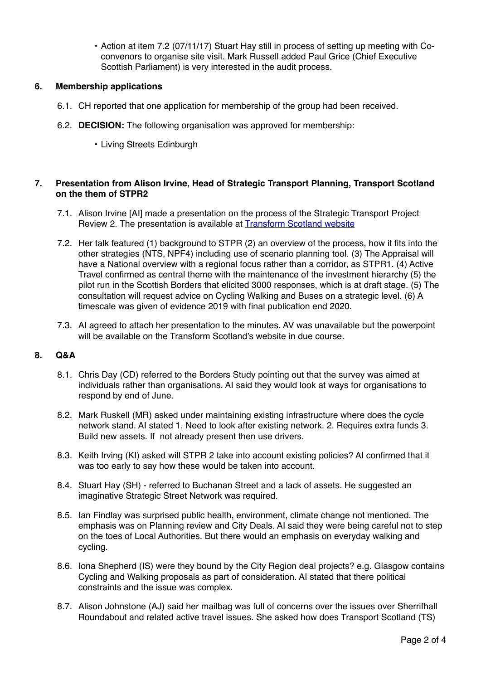• Action at item 7.2 (07/11/17) Stuart Hay still in process of setting up meeting with Coconvenors to organise site visit. Mark Russell added Paul Grice (Chief Executive Scottish Parliament) is very interested in the audit process.

### **6. Membership applications**

- 6.1. CH reported that one application for membership of the group had been received.
- 6.2. **DECISION:** The following organisation was approved for membership:
	- Living Streets Edinburgh

### **7. Presentation from Alison Irvine, Head of Strategic Transport Planning, Transport Scotland on the them of STPR2**

- 7.1. Alison Irvine [AI] made a presentation on the process of the Strategic Transport Project Review 2. The presentation is available at **Transform Scotland website**
- 7.2. Her talk featured (1) background to STPR (2) an overview of the process, how it fits into the other strategies (NTS, NPF4) including use of scenario planning tool. (3) The Appraisal will have a National overview with a regional focus rather than a corridor, as STPR1. (4) Active Travel confirmed as central theme with the maintenance of the investment hierarchy (5) the pilot run in the Scottish Borders that elicited 3000 responses, which is at draft stage. (5) The consultation will request advice on Cycling Walking and Buses on a strategic level. (6) A timescale was given of evidence 2019 with final publication end 2020.
- 7.3. AI agreed to attach her presentation to the minutes. AV was unavailable but the powerpoint will be available on the Transform Scotland's website in due course.

#### **8. Q&A**

- 8.1. Chris Day (CD) referred to the Borders Study pointing out that the survey was aimed at individuals rather than organisations. AI said they would look at ways for organisations to respond by end of June.
- 8.2. Mark Ruskell (MR) asked under maintaining existing infrastructure where does the cycle network stand. AI stated 1. Need to look after existing network. 2. Requires extra funds 3. Build new assets. If not already present then use drivers.
- 8.3. Keith Irving (KI) asked will STPR 2 take into account existing policies? AI confirmed that it was too early to say how these would be taken into account.
- 8.4. Stuart Hay (SH) referred to Buchanan Street and a lack of assets. He suggested an imaginative Strategic Street Network was required.
- 8.5. Ian Findlay was surprised public health, environment, climate change not mentioned. The emphasis was on Planning review and City Deals. AI said they were being careful not to step on the toes of Local Authorities. But there would an emphasis on everyday walking and cycling.
- 8.6. Iona Shepherd (IS) were they bound by the City Region deal projects? e.g. Glasgow contains Cycling and Walking proposals as part of consideration. AI stated that there political constraints and the issue was complex.
- 8.7. Alison Johnstone (AJ) said her mailbag was full of concerns over the issues over Sherrifhall Roundabout and related active travel issues. She asked how does Transport Scotland (TS)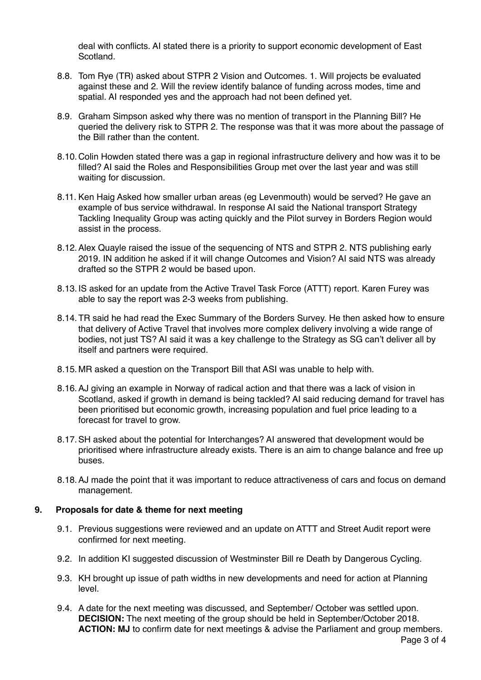deal with conflicts. AI stated there is a priority to support economic development of East Scotland.

- 8.8. Tom Rye (TR) asked about STPR 2 Vision and Outcomes. 1. Will projects be evaluated against these and 2. Will the review identify balance of funding across modes, time and spatial. AI responded yes and the approach had not been defined yet.
- 8.9. Graham Simpson asked why there was no mention of transport in the Planning Bill? He queried the delivery risk to STPR 2. The response was that it was more about the passage of the Bill rather than the content.
- 8.10.Colin Howden stated there was a gap in regional infrastructure delivery and how was it to be filled? AI said the Roles and Responsibilities Group met over the last year and was still waiting for discussion.
- 8.11. Ken Haig Asked how smaller urban areas (eg Levenmouth) would be served? He gave an example of bus service withdrawal. In response AI said the National transport Strategy Tackling Inequality Group was acting quickly and the Pilot survey in Borders Region would assist in the process.
- 8.12.Alex Quayle raised the issue of the sequencing of NTS and STPR 2. NTS publishing early 2019. IN addition he asked if it will change Outcomes and Vision? AI said NTS was already drafted so the STPR 2 would be based upon.
- 8.13.IS asked for an update from the Active Travel Task Force (ATTT) report. Karen Furey was able to say the report was 2-3 weeks from publishing.
- 8.14.TR said he had read the Exec Summary of the Borders Survey. He then asked how to ensure that delivery of Active Travel that involves more complex delivery involving a wide range of bodies, not just TS? AI said it was a key challenge to the Strategy as SG can't deliver all by itself and partners were required.
- 8.15. MR asked a question on the Transport Bill that ASI was unable to help with.
- 8.16.AJ giving an example in Norway of radical action and that there was a lack of vision in Scotland, asked if growth in demand is being tackled? AI said reducing demand for travel has been prioritised but economic growth, increasing population and fuel price leading to a forecast for travel to grow.
- 8.17.SH asked about the potential for Interchanges? AI answered that development would be prioritised where infrastructure already exists. There is an aim to change balance and free up buses.
- 8.18.AJ made the point that it was important to reduce attractiveness of cars and focus on demand management.

#### **9. Proposals for date & theme for next meeting**

- 9.1. Previous suggestions were reviewed and an update on ATTT and Street Audit report were confirmed for next meeting.
- 9.2. In addition KI suggested discussion of Westminster Bill re Death by Dangerous Cycling.
- 9.3. KH brought up issue of path widths in new developments and need for action at Planning level.
- 9.4. A date for the next meeting was discussed, and September/ October was settled upon. **DECISION:** The next meeting of the group should be held in September/October 2018. **ACTION: MJ** to confirm date for next meetings & advise the Parliament and group members.